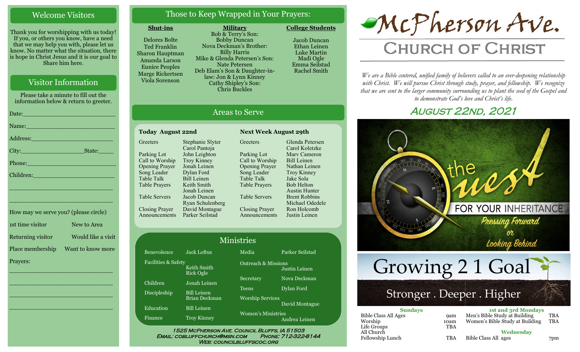# Welcome Visitors

Thank you for worshipping with us today! If you, or others you know, have a need that we may help you with, please let us know. No matter what the situation, there is hope in Christ Jesus and it is our goal to Share him here.

# Visitor Information

Please take a minute to fill out the information below & return to greeter. Date:\_\_\_\_\_\_\_\_\_\_\_\_\_\_\_\_\_\_\_\_\_\_\_\_\_ Name: Address:\_\_\_\_\_\_\_\_\_\_\_\_\_\_\_\_\_\_\_\_\_\_ City:\_\_\_\_\_\_\_\_\_\_\_\_\_\_\_\_\_State:\_\_\_\_ Phone:\_\_\_\_\_\_\_\_\_\_\_\_\_\_\_\_\_\_\_\_\_\_\_\_ Children: \_\_\_\_\_\_\_\_\_\_\_\_\_\_\_\_\_\_\_\_\_\_\_\_\_\_\_\_ \_\_\_\_\_\_\_\_\_\_\_\_\_\_\_\_\_\_\_\_\_\_\_\_\_\_\_\_

1st time visitor New to Area Returning visitor Would like a visit Place membership Want to know more Prayers:

\_\_\_\_\_\_\_\_\_\_\_\_\_\_\_\_\_\_\_\_\_\_\_\_\_\_\_\_

\_\_\_\_\_\_\_\_\_\_\_\_\_\_\_\_\_\_\_\_\_\_\_\_\_\_\_\_

\_\_\_\_\_\_\_\_\_\_\_\_\_\_\_\_\_\_\_\_\_\_\_\_\_\_\_\_

\_\_\_\_\_\_\_\_\_\_\_\_\_\_\_\_\_\_\_\_\_\_\_\_\_\_\_\_

How may we serve you? (please circle)

# Those to Keep Wrapped in Your Prayers:

#### **Shut-ins**

Delores Bolte Ted Franklin Sharon Hauptman Amanda Larson Eunice Peoples Marge Rickertsen Viola Sorenson

**Military** Bob & Terry's Son: Bobby Duncan Nova Deckman's Brother: Billy Harris Mike & Glenda Petersen's Son: Nate Petersen Deb Elam's Son & Daughter-inlaw: Jon & Lynn Kinney Cathy Shipley's Son: Chris Buckles

Areas to Serve

**Greeters** 

Parking Lot

Table Talk

Jacob Duncan Ethan Leinen Luke Martin Madi Ogle Emma Seilstad

Rachel Smith

**College Students** 

# McPherson Ave.

# **CHURCH OF CHRIST**

*We are a Bible centered, unified family of believers called to an ever-deepening relationship*  with Christ. We will pursue Christ through study, prayer, and fellowship. We recognize *that we are sent to the larger community surrounding us to plant the seed of the Gospel and to demonstrate God's love and Christ's life.*

# **AUGUST 22ND, 2021**



| <b>Today August 22nd</b> |  |  |  |  |
|--------------------------|--|--|--|--|
| Stephanie Slyter         |  |  |  |  |
| Carol Pantoja            |  |  |  |  |
| John Leighton            |  |  |  |  |
| <b>Troy Kinney</b>       |  |  |  |  |
| Jonah Leinen             |  |  |  |  |
| Dylan Ford               |  |  |  |  |
| <b>Bill Leinen</b>       |  |  |  |  |
| Keith Smith              |  |  |  |  |
| Jonah Leinen             |  |  |  |  |
| Jacob Duncan             |  |  |  |  |
| Ryan Schulenberg         |  |  |  |  |
| David Montague           |  |  |  |  |
| Parker Seilstad          |  |  |  |  |
|                          |  |  |  |  |

Call to Worship Opening Prayer Song Leader Table Prayers Table Servers Closing Prayer Announcements Glenda Petersen Carol Koletzke Marv Cameron Bill Leinen Nathan Leinen Troy Kinney Jake Sola Bob Helton Austin Hunter Brent Robbins Michael Odedele Ron Holcomb Justin Leinen

**Next Week August 29th** 

| <b>Ministries</b>   |                                     |                                         |                 |  |
|---------------------|-------------------------------------|-----------------------------------------|-----------------|--|
| Benevolence         | <b>Jack Loftus</b>                  | Media                                   | Parker Seilstad |  |
| Facilities & Safety | Keith Smith<br><b>Rick Ogle</b>     | <b>Outreach &amp; Missions</b>          | Justin Leinen   |  |
| Children            | Jonah Leinen                        | Secretary                               | Nova Deckman    |  |
| <b>Discipleship</b> | <b>Bill Leinen</b><br>Brian Deckman | <b>Teens</b><br><b>Worship Services</b> | Dylan Ford      |  |
| Education           | <b>Bill Leinen</b>                  |                                         | David Montague  |  |
| Finance             | <b>Troy Kinney</b>                  | Women's Ministries                      | Andrea Leinen   |  |

Email: cobluffchurch@msn.com Phone: 712-322-8144 WEB: COUNCILBLUFFSCOC.ORG